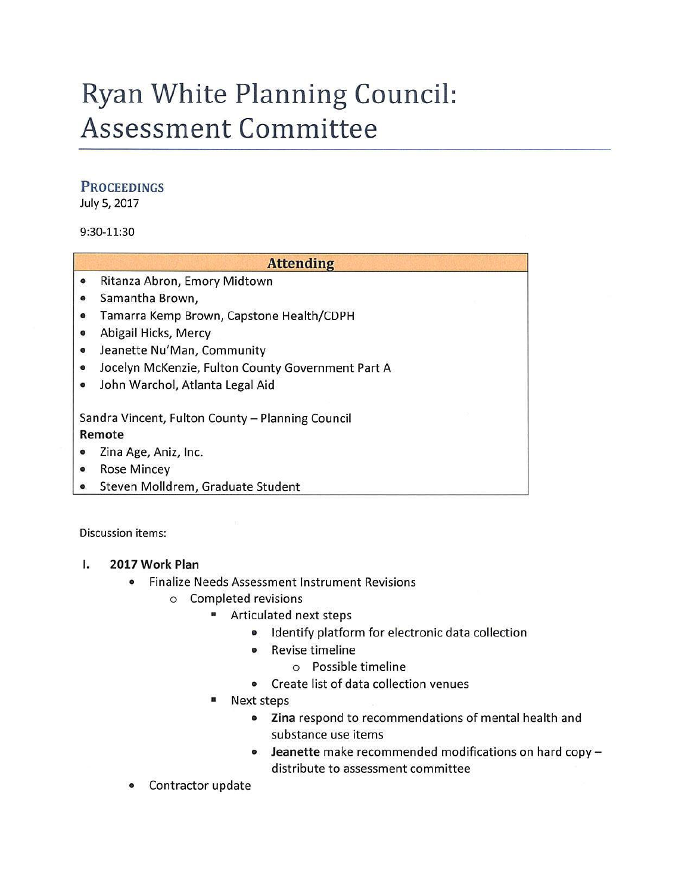# Ryan White Planning Council: Assessment Committee

#### **PROCEEDINGS**

July 5, 2017

#### 9:30-11:30

|           | <b>Attending</b>                                  |
|-----------|---------------------------------------------------|
| $\bullet$ | Ritanza Abron, Emory Midtown                      |
| $\bullet$ | Samantha Brown,                                   |
| $\bullet$ | Tamarra Kemp Brown, Capstone Health/CDPH          |
| $\bullet$ | Abigail Hicks, Mercy                              |
| $\bullet$ | Jeanette Nu'Man, Community                        |
| $\bullet$ | Jocelyn McKenzie, Fulton County Government Part A |
| $\bullet$ | John Warchol, Atlanta Legal Aid                   |
|           | Sandra Vincent, Fulton County - Planning Council  |
| Remote    |                                                   |
| $\bullet$ | Zina Age, Aniz, Inc.                              |
| $\bullet$ | <b>Rose Mincey</b>                                |
| ۰         | Steven Molldrem, Graduate Student                 |

Discussion items:

- I. **2017 Work Plan** 
	- Finalize Needs Assessment Instrument Revisions
		- o Completed revisions
			- Articulated next steps
				- Identify platform for electronic data collection
				- Revise timeline
					- o Possible timeline
				- Create list of data collection venues
			- Next steps
				- **Zina** respond to recommendations of mental health and substance use items
				- **Jeanette** make recommended modifications on hard copydistribute to assessment committee
	- Contractor update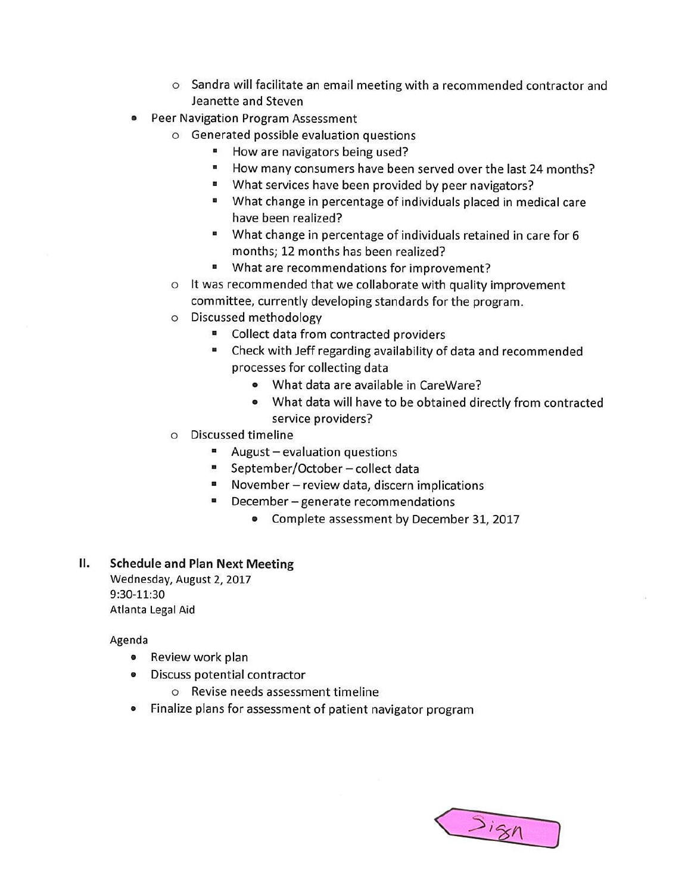- o Sandra will facilitate an email meeting with a recommended contractor and Jeanette and Steven
- Peer Navigation Program Assessment
	- o Generated possible evaluation questions
		- How are navigators being used?
		- How many consumers have been served over the last 24 months?
		- What services have been provided by peer navigators?
		- What change in percentage of individuals placed in medical care have been realized?
		- What change in percentage of individuals retained in care for 6 months; 12 months has been realized?
		- What are recommendations for improvement?
	- o It was recommended that we collaborate with quality improvement committee, currently developing standards for the program.
	- o Discussed methodology
		- Collect data from contracted providers
		- Check with Jeff regarding availability of data and recommended processes for collecting data
			- What data are available in CareWare?
			- What data will have to be obtained directly from contracted service providers?
	- o Discussed timeline
		- $\blacksquare$  August evaluation questions
		- September/October collect data
		- November review data, discern implications
		- December generate recommendations
			- Complete assessment by December 31, 2017

### **II. Schedule and Plan Next Meeting**

Wednesday, August 2, 2017 9:30-11:30 Atlanta Legal Aid

Agenda

- Review work plan
- Discuss potential contractor
	- o Revise needs assessment timeline
- Finalize plans for assessment of patient navigator program